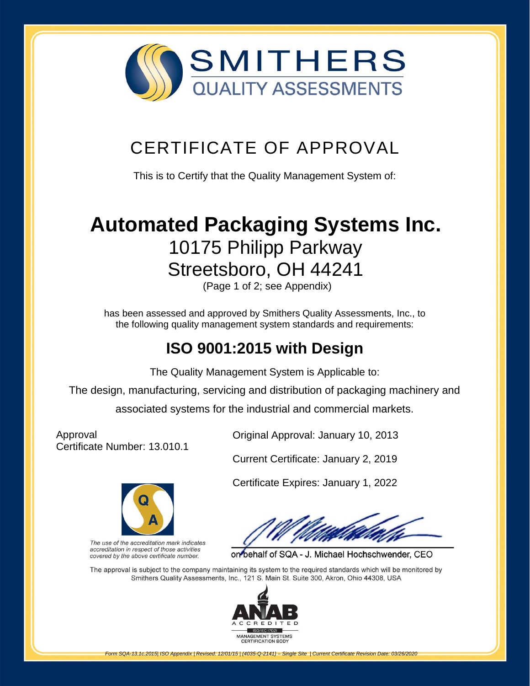

## CERTIFICATE OF APPROVAL

This is to Certify that the Quality Management System of:

# **[Automated Packaging Systems Inc.](http://www.smithersregistrar.com/)** 10175 Philipp Parkway Streetsboro, OH 44241

(Page 1 of 2; see Appendix)

has been assessed and approved by Smithers Quality Assessments, Inc., to the following quality management system standards and requirements:

## **ISO 9001:2015 with Design**

The Quality Management System is Applicable to:

The design, manufacturing, servicing and distribution of packaging machinery and associated systems for the industrial and commercial markets.

Approval Certificate Number: 13.010.1



The use of the accreditation mark indicates accreditation in respect of those activities covered by the above certificate number.

Original Approval: January 10, 2013

Current Certificate: January 2, 2019

Certificate Expires: January 1, 2022

on behalf of SQA - J. Michael Hochschwender, CEO

The approval is subject to the company maintaining its system to the required standards which will be monitored by Smithers Quality Assessments, Inc., 121 S. Main St. Suite 300, Akron, Ohio 44308, USA



*Form SQA-13.1c.2015| ISO Appendix | Revised: 12/01/15 | (4035-Q-2141) – Single Site | Current Certificate Revision Date: 03/26/2020*